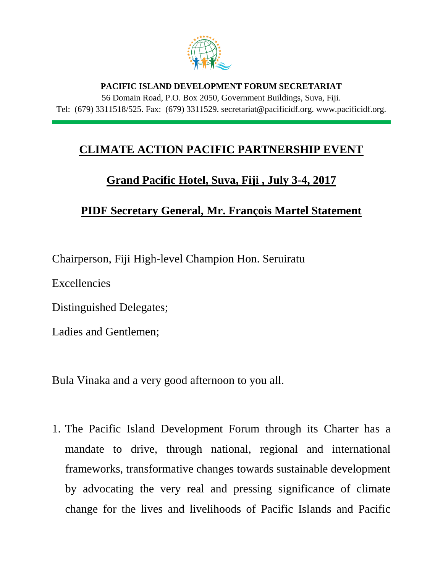

## **PACIFIC ISLAND DEVELOPMENT FORUM SECRETARIAT** 56 Domain Road, P.O. Box 2050, Government Buildings, Suva, Fiji. Tel: (679) 3311518/525. Fax: (679) 3311529. secretariat@pacificidf.org. www.pacificidf.org.

## **CLIMATE ACTION PACIFIC PARTNERSHIP EVENT**

## **Grand Pacific Hotel, Suva, Fiji , July 3-4, 2017**

## **PIDF Secretary General, Mr. François Martel Statement**

Chairperson, Fiji High-level Champion Hon. Seruiratu

Excellencies

Distinguished Delegates;

Ladies and Gentlemen;

Bula Vinaka and a very good afternoon to you all.

1. The Pacific Island Development Forum through its Charter has a mandate to drive, through national, regional and international frameworks, transformative changes towards sustainable development by advocating the very real and pressing significance of climate change for the lives and livelihoods of Pacific Islands and Pacific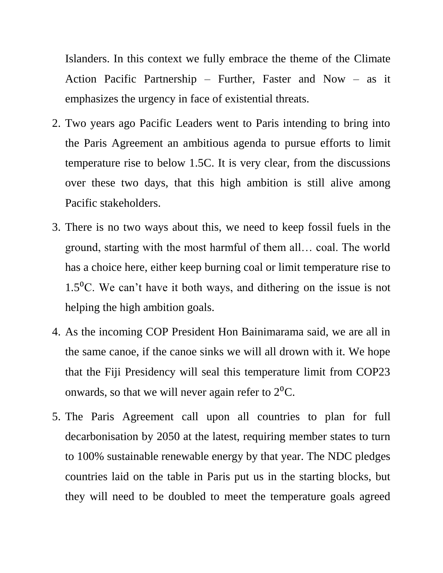Islanders. In this context we fully embrace the theme of the Climate Action Pacific Partnership – Further, Faster and Now – as it emphasizes the urgency in face of existential threats.

- 2. Two years ago Pacific Leaders went to Paris intending to bring into the Paris Agreement an ambitious agenda to pursue efforts to limit temperature rise to below 1.5C. It is very clear, from the discussions over these two days, that this high ambition is still alive among Pacific stakeholders.
- 3. There is no two ways about this, we need to keep fossil fuels in the ground, starting with the most harmful of them all… coal. The world has a choice here, either keep burning coal or limit temperature rise to 1.5 $^{\circ}$ C. We can't have it both ways, and dithering on the issue is not helping the high ambition goals.
- 4. As the incoming COP President Hon Bainimarama said, we are all in the same canoe, if the canoe sinks we will all drown with it. We hope that the Fiji Presidency will seal this temperature limit from COP23 onwards, so that we will never again refer to  $2^{0}C$ .
- 5. The Paris Agreement call upon all countries to plan for full decarbonisation by 2050 at the latest, requiring member states to turn to 100% sustainable renewable energy by that year. The NDC pledges countries laid on the table in Paris put us in the starting blocks, but they will need to be doubled to meet the temperature goals agreed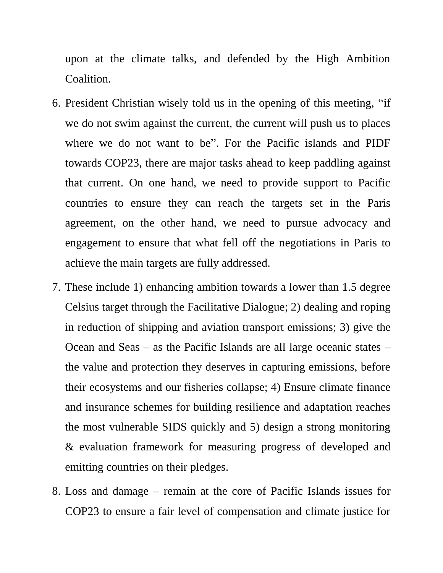upon at the climate talks, and defended by the High Ambition Coalition.

- 6. President Christian wisely told us in the opening of this meeting, "if we do not swim against the current, the current will push us to places where we do not want to be". For the Pacific islands and PIDF towards COP23, there are major tasks ahead to keep paddling against that current. On one hand, we need to provide support to Pacific countries to ensure they can reach the targets set in the Paris agreement, on the other hand, we need to pursue advocacy and engagement to ensure that what fell off the negotiations in Paris to achieve the main targets are fully addressed.
- 7. These include 1) enhancing ambition towards a lower than 1.5 degree Celsius target through the Facilitative Dialogue; 2) dealing and roping in reduction of shipping and aviation transport emissions; 3) give the Ocean and Seas – as the Pacific Islands are all large oceanic states – the value and protection they deserves in capturing emissions, before their ecosystems and our fisheries collapse; 4) Ensure climate finance and insurance schemes for building resilience and adaptation reaches the most vulnerable SIDS quickly and 5) design a strong monitoring & evaluation framework for measuring progress of developed and emitting countries on their pledges.
- 8. Loss and damage remain at the core of Pacific Islands issues for COP23 to ensure a fair level of compensation and climate justice for